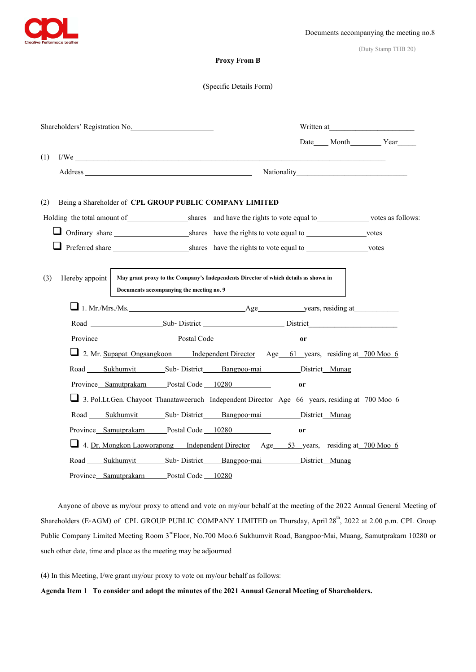

(Duty Stamp THB 20)

## **Proxy From B**

#### **(**Specific Details Form)

| Shareholders' Registration No. |                                                                                                        |  |                                                                                                                                                                                                                                |                                                                                                |               |                                 |
|--------------------------------|--------------------------------------------------------------------------------------------------------|--|--------------------------------------------------------------------------------------------------------------------------------------------------------------------------------------------------------------------------------|------------------------------------------------------------------------------------------------|---------------|---------------------------------|
|                                |                                                                                                        |  |                                                                                                                                                                                                                                |                                                                                                |               | Date_____ Month___________ Year |
| (1)                            |                                                                                                        |  |                                                                                                                                                                                                                                | I/We                                                                                           |               |                                 |
|                                |                                                                                                        |  | Address and the contract of the contract of the contract of the contract of the contract of the contract of the contract of the contract of the contract of the contract of the contract of the contract of the contract of th |                                                                                                |               |                                 |
| (2)                            |                                                                                                        |  |                                                                                                                                                                                                                                | Being a Shareholder of CPL GROUP PUBLIC COMPANY LIMITED                                        |               |                                 |
|                                | Holding the total amount of shares and have the rights to vote equal to volte of the votes as follows: |  |                                                                                                                                                                                                                                |                                                                                                |               |                                 |
|                                |                                                                                                        |  |                                                                                                                                                                                                                                | Ordinary share shares have the rights to vote equal to votes                                   |               |                                 |
|                                |                                                                                                        |  |                                                                                                                                                                                                                                |                                                                                                |               |                                 |
| (3)                            | Hereby appoint                                                                                         |  | Documents accompanying the meeting no. 9                                                                                                                                                                                       | May grant proxy to the Company's Independents Director of which details as shown in            |               |                                 |
|                                |                                                                                                        |  |                                                                                                                                                                                                                                | $\Box$ 1. Mr./Mrs./Ms. $\Box$ 1. Mr./Mrs./Ms.                                                  |               |                                 |
|                                |                                                                                                        |  |                                                                                                                                                                                                                                |                                                                                                |               |                                 |
|                                |                                                                                                        |  |                                                                                                                                                                                                                                | Province Postal Code                                                                           | <sub>or</sub> |                                 |
|                                |                                                                                                        |  |                                                                                                                                                                                                                                | 2. Mr. Supapat Ongsangkoon Independent Director Age 61 years, residing at 700 Moo 6            |               |                                 |
|                                |                                                                                                        |  |                                                                                                                                                                                                                                | Road Sukhumvit Sub-District Bangpoo-mai District Munag                                         |               |                                 |
|                                |                                                                                                        |  |                                                                                                                                                                                                                                | Province Samutprakarn Postal Code 10280                                                        | <sub>or</sub> |                                 |
|                                |                                                                                                        |  |                                                                                                                                                                                                                                | 3. Pol.Lt.Gen. Chayoot Thanataweeruch Independent Director Age 66 years, residing at 700 Moo 6 |               |                                 |
|                                |                                                                                                        |  |                                                                                                                                                                                                                                | Road Sukhumvit Sub-District Bangpoo-mai District Munag                                         |               |                                 |
|                                |                                                                                                        |  |                                                                                                                                                                                                                                | Province Samutprakarn Postal Code 10280                                                        | <sub>or</sub> |                                 |
|                                |                                                                                                        |  |                                                                                                                                                                                                                                | 4. Dr. Mongkon Laoworapong Independent Director Age 53 years, residing at 700 Moo 6            |               |                                 |
|                                |                                                                                                        |  |                                                                                                                                                                                                                                | Road Sukhumvit Sub-District Bangpoo-mai District Munag                                         |               |                                 |
|                                |                                                                                                        |  | Province Samutprakarn Postal Code 10280                                                                                                                                                                                        |                                                                                                |               |                                 |

Anyone of above as my/our proxy to attend and vote on my/our behalf at the meeting of the 2022 Annual General Meeting of Shareholders (E-AGM) of CPL GROUP PUBLIC COMPANY LIMITED on Thursday, April 28<sup>th</sup>, 2022 at 2.00 p.m. CPL Group Public Company Limited Meeting Room 3<sup>rd</sup>Floor, No.700 Moo.6 Sukhumvit Road, Bangpoo-Mai, Muang, Samutprakarn 10280 or such other date, time and place as the meeting may be adjourned

(4) In this Meeting, I/we grant my/our proxy to vote on my/our behalf as follows:

**Agenda Item 1 To consider and adopt the minutes of the2021 Annual General Meeting of Shareholders.**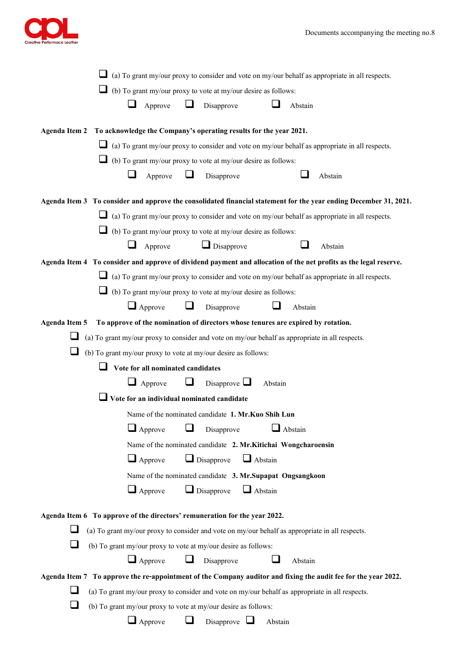

| $\Box$ (a) To grant my/our proxy to consider and vote on my/our behalf as appropriate in all respects.            |  |  |  |  |  |  |  |
|-------------------------------------------------------------------------------------------------------------------|--|--|--|--|--|--|--|
| $\Box$ (b) To grant my/our proxy to vote at my/our desire as follows:                                             |  |  |  |  |  |  |  |
| ⊔<br>Approve<br>Disapprove<br>Abstain                                                                             |  |  |  |  |  |  |  |
| Agenda Item 2 To acknowledge the Company's operating results for the year 2021.                                   |  |  |  |  |  |  |  |
| (a) To grant my/our proxy to consider and vote on my/our behalf as appropriate in all respects.                   |  |  |  |  |  |  |  |
| $\Box$ (b) To grant my/our proxy to vote at my/our desire as follows:                                             |  |  |  |  |  |  |  |
| ⊔<br>Disapprove<br>Abstain<br>Approve                                                                             |  |  |  |  |  |  |  |
| Agenda Item 3 To consider and approve the consolidated financial statement for the year ending December 31, 2021. |  |  |  |  |  |  |  |
| $\Box$ (a) To grant my/our proxy to consider and vote on my/our behalf as appropriate in all respects.            |  |  |  |  |  |  |  |
| (b) To grant my/our proxy to vote at my/our desire as follows:                                                    |  |  |  |  |  |  |  |
| $\Box$ Disapprove<br>Approve<br>Abstain                                                                           |  |  |  |  |  |  |  |
| Agenda Item 4 To consider and approve of dividend payment and allocation of the net profits as the legal reserve. |  |  |  |  |  |  |  |
| (a) To grant my/our proxy to consider and vote on my/our behalf as appropriate in all respects.                   |  |  |  |  |  |  |  |
| (b) To grant my/our proxy to vote at my/our desire as follows:                                                    |  |  |  |  |  |  |  |
| $\Box$ Approve<br>$\Box$<br>Disapprove<br>Abstain                                                                 |  |  |  |  |  |  |  |
| To approve of the nomination of directors whose tenures are expired by rotation.<br><b>Agenda Item 5</b>          |  |  |  |  |  |  |  |
| (a) To grant my/our proxy to consider and vote on my/our behalf as appropriate in all respects.                   |  |  |  |  |  |  |  |
| (b) To grant my/our proxy to vote at my/our desire as follows:                                                    |  |  |  |  |  |  |  |
| Vote for all nominated candidates                                                                                 |  |  |  |  |  |  |  |
| $\Box$<br>$\Box$ Approve<br>Disapprove $\Box$<br>Abstain                                                          |  |  |  |  |  |  |  |
| $\Box$ Vote for an individual nominated candidate                                                                 |  |  |  |  |  |  |  |
| Name of the nominated candidate 1. Mr.Kuo Shih Lun                                                                |  |  |  |  |  |  |  |
| □<br>$\Box$ Approve<br>Disapprove<br>$\Box$ Abstain                                                               |  |  |  |  |  |  |  |
| Name of the nominated candidate 2. Mr. Kitichai Wongcharoensin                                                    |  |  |  |  |  |  |  |
| $\Box$ Disapprove<br>$\Box$ Abstain<br>$\Box$ Approve                                                             |  |  |  |  |  |  |  |
| Name of the nominated candidate 3. Mr.Supapat Ongsangkoon                                                         |  |  |  |  |  |  |  |
| $\Box$ Approve<br>$\Box$ Disapprove<br>$\Box$ Abstain                                                             |  |  |  |  |  |  |  |
| Agenda Item 6 To approve of the directors' remuneration for the year 2022.                                        |  |  |  |  |  |  |  |
| (a) To grant my/our proxy to consider and vote on my/our behalf as appropriate in all respects.                   |  |  |  |  |  |  |  |
| ப<br>(b) To grant my/our proxy to vote at my/our desire as follows:                                               |  |  |  |  |  |  |  |
| $\Box$ Approve<br>Disapprove<br>Abstain                                                                           |  |  |  |  |  |  |  |
| Agenda Item 7 To approve the re-appointment of the Company auditor and fixing the audit fee for the year 2022.    |  |  |  |  |  |  |  |
| (a) To grant my/our proxy to consider and vote on my/our behalf as appropriate in all respects.                   |  |  |  |  |  |  |  |
| (b) To grant my/our proxy to vote at my/our desire as follows:                                                    |  |  |  |  |  |  |  |
| $\Box$ Approve<br>Disapprove<br>Abstain                                                                           |  |  |  |  |  |  |  |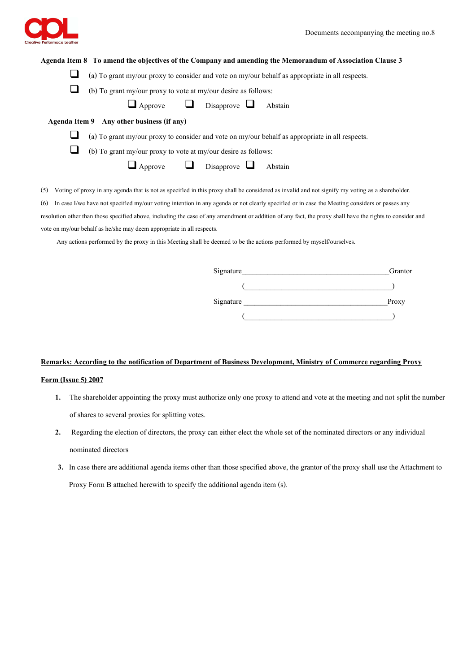

#### **Agenda Item 8 To amend the objectives of the Company and amending the Memorandum of Association Clause 3**

- (a) To grant my/our proxy to consider and vote on my/our behalf as appropriate in all respects.
- $\Box$  (b) To grant my/our proxy to vote at my/our desire as follows:

| $\Box$ Approve | Disapprove $\Box$ |  | Abstain |
|----------------|-------------------|--|---------|
|----------------|-------------------|--|---------|

**Agenda Item 9 Any other business (if any)**

(a) To grant my/our proxy to consider and vote on my/our behalf as appropriate in all respects.

 $\Box$  (b) To grant my/our proxy to vote at my/our desire as follows:

 $\Box$  Approve  $\Box$  Disapprove  $\Box$  Abstain

(5) Voting of proxy in any agenda that is not as specified in this proxy shall be considered as invalid and not signify my voting as a shareholder.

(6) In case I/we have not specified my/our voting intention in any agenda or not clearly specified or in case the Meeting considers or passes any

resolution other than those specified above, including the case of any amendment or addition of any fact, the proxy shall have the rights to consider and vote on my/our behalf as he/she may deem appropriate in all respects.

Any actions performed by the proxy in this Meeting shall be deemed to be the actions performed by myself/ourselves.

| Signature | Granton |
|-----------|---------|
|           |         |
| Signature | Proxy   |
|           |         |

## **Remarks: According to the notification of Department of Business Development, Ministry of Commerce regarding Proxy**

# **Form (Issue 5) 2007**

- **1.** The shareholder appointing the proxy must authorize only one proxy to attend and vote at the meeting and not split the number of shares to several proxies for splitting votes.
- **2.** Regarding the election of directors, the proxy can either elect the whole set of the nominated directors or any individual nominated directors
- **3.** In case there are additional agenda items other than those specified above, the grantor of the proxy shall use the Attachment to Proxy Form B attached herewith to specify the additional agenda item (s).